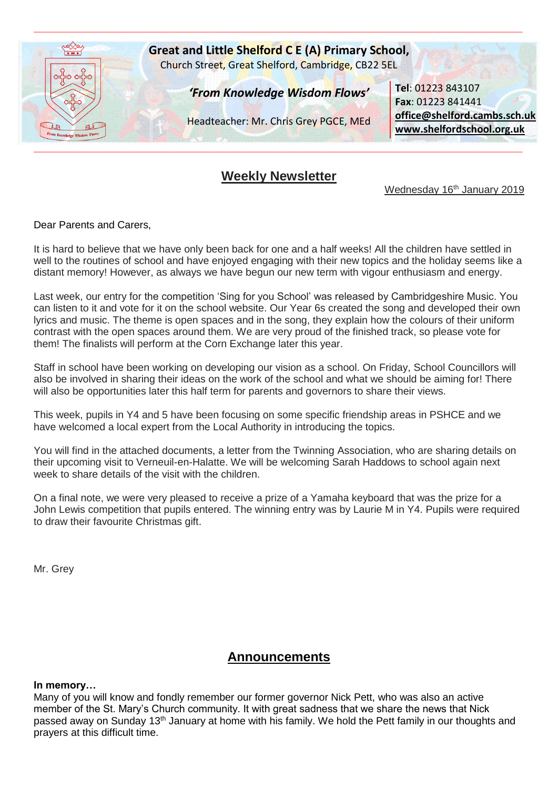

# **Weekly Newsletter**

Wednesday 16<sup>th</sup> January 2019

Dear Parents and Carers,

It is hard to believe that we have only been back for one and a half weeks! All the children have settled in well to the routines of school and have enjoyed engaging with their new topics and the holiday seems like a distant memory! However, as always we have begun our new term with vigour enthusiasm and energy.

Last week, our entry for the competition 'Sing for you School' was released by Cambridgeshire Music. You can listen to it and vote for it on the school website. Our Year 6s created the song and developed their own lyrics and music. The theme is open spaces and in the song, they explain how the colours of their uniform contrast with the open spaces around them. We are very proud of the finished track, so please vote for them! The finalists will perform at the Corn Exchange later this year.

Staff in school have been working on developing our vision as a school. On Friday, School Councillors will also be involved in sharing their ideas on the work of the school and what we should be aiming for! There will also be opportunities later this half term for parents and governors to share their views.

This week, pupils in Y4 and 5 have been focusing on some specific friendship areas in PSHCE and we have welcomed a local expert from the Local Authority in introducing the topics.

You will find in the attached documents, a letter from the Twinning Association, who are sharing details on their upcoming visit to Verneuil-en-Halatte. We will be welcoming Sarah Haddows to school again next week to share details of the visit with the children.

On a final note, we were very pleased to receive a prize of a Yamaha keyboard that was the prize for a John Lewis competition that pupils entered. The winning entry was by Laurie M in Y4. Pupils were required to draw their favourite Christmas gift.

Mr. Grey

# **Announcements**

# **In memory…**

Many of you will know and fondly remember our former governor Nick Pett, who was also an active member of the St. Mary's Church community. It with great sadness that we share the news that Nick passed away on Sunday 13<sup>th</sup> January at home with his family. We hold the Pett family in our thoughts and prayers at this difficult time.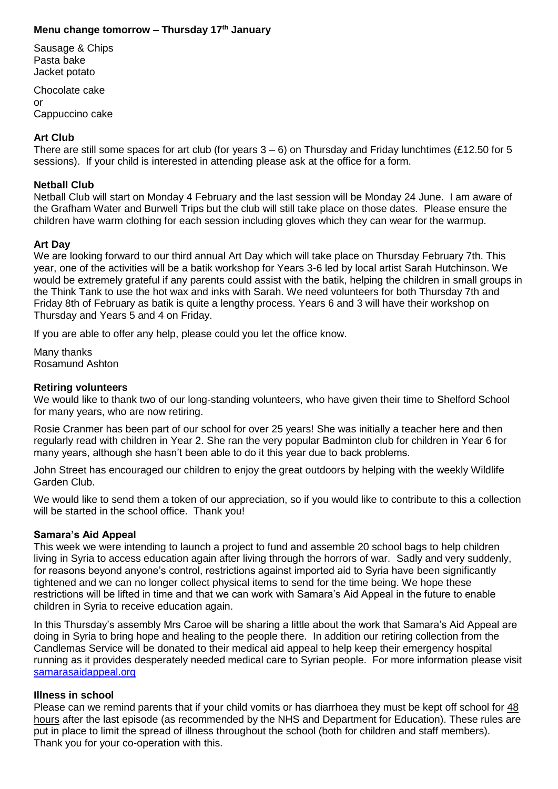# **Menu change tomorrow – Thursday 17th January**

Sausage & Chips Pasta bake Jacket potato

Chocolate cake or Cappuccino cake

# **Art Club**

There are still some spaces for art club (for years 3 – 6) on Thursday and Friday lunchtimes (£12.50 for 5 sessions). If your child is interested in attending please ask at the office for a form.

#### **Netball Club**

Netball Club will start on Monday 4 February and the last session will be Monday 24 June. I am aware of the Grafham Water and Burwell Trips but the club will still take place on those dates. Please ensure the children have warm clothing for each session including gloves which they can wear for the warmup.

# **Art Day**

We are looking forward to our third annual Art Day which will take place on Thursday February 7th. This year, one of the activities will be a batik workshop for Years 3-6 led by local artist Sarah Hutchinson. We would be extremely grateful if any parents could assist with the batik, helping the children in small groups in the Think Tank to use the hot wax and inks with Sarah. We need volunteers for both Thursday 7th and Friday 8th of February as batik is quite a lengthy process. Years 6 and 3 will have their workshop on Thursday and Years 5 and 4 on Friday.

If you are able to offer any help, please could you let the office know.

Many thanks Rosamund Ashton

#### **Retiring volunteers**

We would like to thank two of our long-standing volunteers, who have given their time to Shelford School for many years, who are now retiring.

Rosie Cranmer has been part of our school for over 25 years! She was initially a teacher here and then regularly read with children in Year 2. She ran the very popular Badminton club for children in Year 6 for many years, although she hasn't been able to do it this year due to back problems.

John Street has encouraged our children to enjoy the great outdoors by helping with the weekly Wildlife Garden Club.

We would like to send them a token of our appreciation, so if you would like to contribute to this a collection will be started in the school office. Thank you!

# **Samara's Aid Appeal**

This week we were intending to launch a project to fund and assemble 20 school bags to help children living in Syria to access education again after living through the horrors of war. Sadly and very suddenly, for reasons beyond anyone's control, restrictions against imported aid to Syria have been significantly tightened and we can no longer collect physical items to send for the time being. We hope these restrictions will be lifted in time and that we can work with Samara's Aid Appeal in the future to enable children in Syria to receive education again.

In this Thursday's assembly Mrs Caroe will be sharing a little about the work that Samara's Aid Appeal are doing in Syria to bring hope and healing to the people there. In addition our retiring collection from the Candlemas Service will be donated to their medical aid appeal to help keep their emergency hospital running as it provides desperately needed medical care to Syrian people. For more information please visit [samarasaidappeal.org](http://samarasaidappeal.org/)

#### **Illness in school**

Please can we remind parents that if your child vomits or has diarrhoea they must be kept off school for 48 hours after the last episode (as recommended by the NHS and Department for Education). These rules are put in place to limit the spread of illness throughout the school (both for children and staff members). Thank you for your co-operation with this.